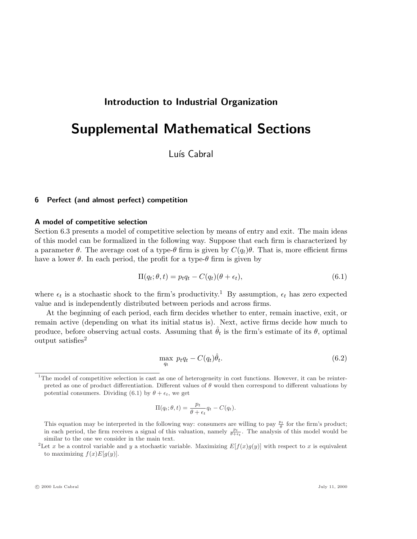# Introduction to Industrial Organization

# Supplemental Mathematical Sections

Luís Cabral

# 6 Perfect (and almost perfect) competition

## A model of competitive selection

Section 6.3 presents a model of competitive selection by means of entry and exit. The main ideas of this model can be formalized in the following way. Suppose that each firm is characterized by a parameter  $\theta$ . The average cost of a type- $\theta$  firm is given by  $C(q_t)\theta$ . That is, more efficient firms have a lower  $\theta$ . In each period, the profit for a type- $\theta$  firm is given by

$$
\Pi(q_t; \theta, t) = p_t q_t - C(q_t)(\theta + \epsilon_t), \qquad (6.1)
$$

where  $\epsilon_t$  is a stochastic shock to the firm's productivity.<sup>1</sup> By assumption,  $\epsilon_t$  has zero expected value and is independently distributed between periods and across firms.

At the beginning of each period, each firm decides whether to enter, remain inactive, exit, or remain active (depending on what its initial status is). Next, active firms decide how much to produce, before observing actual costs. Assuming that  $\hat{\theta}_t$  is the firm's estimate of its  $\theta$ , optimal output satisfies<sup>2</sup>

$$
\max_{q_t} \ p_t q_t - C(q_t)\hat{\theta}_t. \tag{6.2}
$$

$$
\Pi(q_t; \theta, t) = \frac{p_t}{\theta + \epsilon_t} q_t - C(q_t).
$$

 $1$ The model of competitive selection is cast as one of heterogeneity in cost functions. However, it can be reinterpreted as one of product differentiation. Different values of  $\theta$  would then correspond to different valuations by potential consumers. Dividing (6.1) by  $\theta + \epsilon_t$ , we get

This equation may be interpreted in the following way: consumers are willing to pay  $\frac{p_t}{\theta}$  for the firm's product; in each period, the firm receives a signal of this valuation, namely  $\frac{pt}{\theta+\epsilon_t}$ . The analysis of this model would be similar to the one we consider in the main text.

<sup>&</sup>lt;sup>2</sup>Let x be a control variable and y a stochastic variable. Maximizing  $E[f(x)g(y)]$  with respect to x is equivalent to maximizing  $f(x)E[q(y)]$ .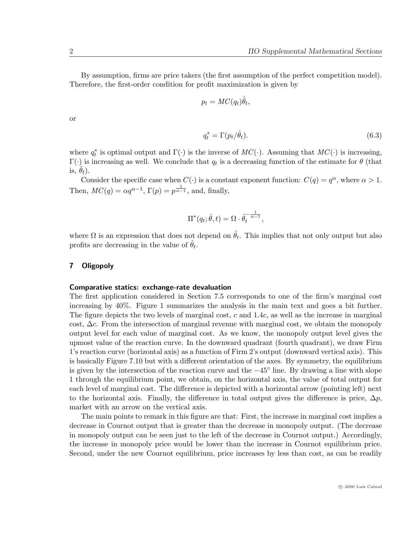By assumption, firms are price takers (the first assumption of the perfect competition model). Therefore, the first-order condition for profit maximization is given by

$$
p_t = MC(q_t)\hat{\theta}_t,
$$

or

$$
q_t^* = \Gamma(p_t/\hat{\theta}_t). \tag{6.3}
$$

where  $q_t^*$  is optimal output and  $\Gamma(\cdot)$  is the inverse of  $MC(\cdot)$ . Assuming that  $MC(\cdot)$  is increasing,  $\Gamma(\cdot)$  is increasing as well. We conclude that  $q_t$  is a decreasing function of the estimate for  $\theta$  (that is,  $\theta_t$ ).

Consider the specific case when  $C(\cdot)$  is a constant exponent function:  $C(q) = q^{\alpha}$ , where  $\alpha > 1$ . Then,  $MC(q) = \alpha q^{\alpha-1}$ ,  $\Gamma(p) = p^{\frac{1}{\alpha-1}}$ , and, finally,

$$
\Pi^*(q_t; \hat{\theta}, t) = \Omega \cdot \hat{\theta}_t^{-\frac{1}{\alpha - 1}},
$$

where  $\Omega$  is an expression that does not depend on  $\hat{\theta}_t$ . This implies that not only output but also profits are decreasing in the value of  $\hat{\theta}_t$ .

# 7 Oligopoly

#### Comparative statics: exchange-rate devaluation

The first application considered in Section 7.5 corresponds to one of the firm's marginal cost increasing by 40%. Figure 1 summarizes the analysis in the main text and goes a bit further. The figure depicts the two levels of marginal cost, c and 1.4c, as well as the increase in marginal cost, ∆c. From the intersection of marginal revenue with marginal cost, we obtain the monopoly output level for each value of marginal cost. As we know, the monopoly output level gives the upmost value of the reaction curve. In the downward quadrant (fourth quadrant), we draw Firm 1's reaction curve (horizontal axis) as a function of Firm 2's output (downward vertical axis). This is basically Figure 7.10 but with a different orientation of the axes. By symmetry, the equilibrium is given by the intersection of the reaction curve and the −45◦ line. By drawing a line with slope 1 through the equilibrium point, we obtain, on the horizontal axis, the value of total output for each level of marginal cost. The difference is depicted with a horizontal arrow (pointing left) next to the horizontal axis. Finally, the difference in total output gives the difference is price,  $\Delta p$ , market with an arrow on the vertical axis.

The main points to remark in this figure are that: First, the increase in marginal cost implies a decrease in Cournot output that is greater than the decrease in monopoly output. (The decrease in monopoly output can be seen just to the left of the decrease in Cournot output.) Accordingly, the increase in monopoly price would be lower than the increase in Cournot equilibrium price. Second, under the new Cournot equilibrium, price increases by less than cost, as can be readily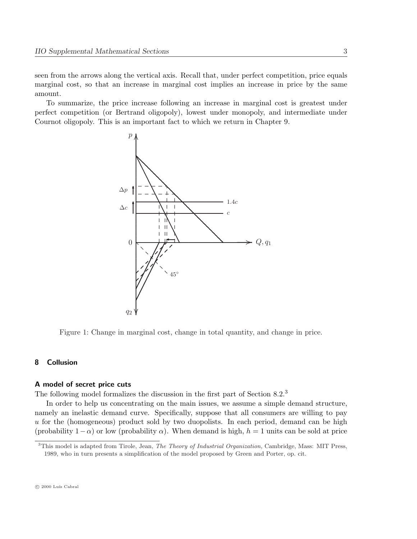seen from the arrows along the vertical axis. Recall that, under perfect competition, price equals marginal cost, so that an increase in marginal cost implies an increase in price by the same amount.

To summarize, the price increase following an increase in marginal cost is greatest under perfect competition (or Bertrand oligopoly), lowest under monopoly, and intermediate under Cournot oligopoly. This is an important fact to which we return in Chapter 9.



Figure 1: Change in marginal cost, change in total quantity, and change in price.

## 8 Collusion

#### A model of secret price cuts

The following model formalizes the discussion in the first part of Section 8.2.<sup>3</sup>

In order to help us concentrating on the main issues, we assume a simple demand structure, namely an inelastic demand curve. Specifically, suppose that all consumers are willing to pay u for the (homogeneous) product sold by two duopolists. In each period, demand can be high (probability  $1-\alpha$ ) or low (probability  $\alpha$ ). When demand is high,  $h = 1$  units can be sold at price

 $3$ This model is adapted from Tirole, Jean, *The Theory of Industrial Organization*, Cambridge, Mass: MIT Press, 1989, who in turn presents a simplification of the model proposed by Green and Porter, op. cit.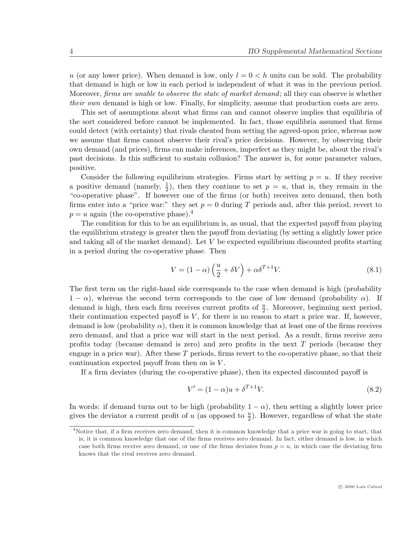u (or any lower price). When demand is low, only  $l = 0 < h$  units can be sold. The probability that demand is high or low in each period is independent of what it was in the previous period. Moreover, *firms are unable to observe the state of market demand*; all they can observe is whether their own demand is high or low. Finally, for simplicity, assume that production costs are zero.

This set of assumptions about what firms can and cannot observe implies that equilibria of the sort considered before cannot be implemented. In fact, those equilibria assumed that firms could detect (with certainty) that rivals cheated from setting the agreed-upon price, whereas now we assume that firms cannot observe their rival's price decisions. However, by observing their own demand (and prices), firms can make inferences, imperfect as they might be, about the rival's past decisions. Is this sufficient to sustain collusion? The answer is, for some parameter values, positive.

Consider the following equilibrium strategies. Firms start by setting  $p = u$ . If they receive a positive demand (namely,  $\frac{1}{2}$ ), then they continue to set  $p = u$ , that is, they remain in the "co-operative phase". If however one of the firms (or both) receives zero demand, then both firms enter into a "price war:" they set  $p = 0$  during T periods and, after this period, revert to  $p = u$  again (the co-operative phase).<sup>4</sup>

The condition for this to be an equilibrium is, as usual, that the expected payoff from playing the equilibrium strategy is greater then the payoff from deviating (by setting a slightly lower price and taking all of the market demand). Let V be expected equilibrium discounted profits starting in a period during the co-operative phase. Then

$$
V = (1 - \alpha) \left(\frac{u}{2} + \delta V\right) + \alpha \delta^{T+1} V. \tag{8.1}
$$

The first term on the right-hand side corresponds to the case when demand is high (probability  $1 - \alpha$ ), whereas the second term corresponds to the case of low demand (probability  $\alpha$ ). If demand is high, then each firm receives current profits of  $\frac{u}{2}$ . Moreover, beginning next period, their continuation expected payoff is  $V$ , for there is no reason to start a price war. If, however, demand is low (probability  $\alpha$ ), then it is common knowledge that at least one of the firms receives zero demand, and that a price war will start in the next period. As a result, firms receive zero profits today (because demand is zero) and zero profits in the next T periods (because they engage in a price war). After these  $T$  periods, firms revert to the co-operative phase, so that their continuation expected payoff from then on is V .

If a firm deviates (during the co-operative phase), then its expected discounted payoff is

$$
V' = (1 - \alpha)u + \delta^{T+1}V.
$$
\n
$$
(8.2)
$$

In words: if demand turns out to be high (probability  $1 - \alpha$ ), then setting a slightly lower price gives the deviator a current profit of u (as opposed to  $\frac{u}{2}$ ). However, regardless of what the state

<sup>&</sup>lt;sup>4</sup>Notice that, if a firm receives zero demand, then it is common knowledge that a price war is going to start, that is, it is common knowledge that one of the firms receives zero demand. In fact, either demand is low, in which case both firms receive zero demand, or one of the firms deviates from  $p = u$ , in which case the deviating firm knows that the rival receives zero demand.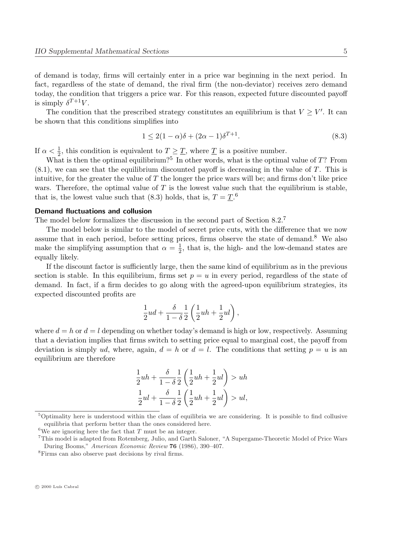of demand is today, firms will certainly enter in a price war beginning in the next period. In fact, regardless of the state of demand, the rival firm (the non-deviator) receives zero demand today, the condition that triggers a price war. For this reason, expected future discounted payoff is simply  $\delta^{T+1}V$ .

The condition that the prescribed strategy constitutes an equilibrium is that  $V \geq V'$ . It can be shown that this conditions simplifies into

$$
1 \le 2(1 - \alpha)\delta + (2\alpha - 1)\delta^{T+1}.
$$
\n
$$
(8.3)
$$

If  $\alpha < \frac{1}{2}$ , this condition is equivalent to  $T \geq \underline{T}$ , where  $\underline{T}$  is a positive number.

What is then the optimal equilibrium?<sup>5</sup> In other words, what is the optimal value of  $T$ ? From  $(8.1)$ , we can see that the equilibrium discounted payoff is decreasing in the value of T. This is intuitive, for the greater the value of  $T$  the longer the price wars will be; and firms don't like price wars. Therefore, the optimal value of  $T$  is the lowest value such that the equilibrium is stable, that is, the lowest value such that (8.3) holds, that is,  $T = \underline{T}$ .<sup>6</sup>

# Demand fluctuations and collusion

The model below formalizes the discussion in the second part of Section  $8.2<sup>7</sup>$ 

The model below is similar to the model of secret price cuts, with the difference that we now assume that in each period, before setting prices, firms observe the state of demand.<sup>8</sup> We also make the simplifying assumption that  $\alpha = \frac{1}{2}$  $\frac{1}{2}$ , that is, the high- and the low-demand states are equally likely.

If the discount factor is sufficiently large, then the same kind of equilibrium as in the previous section is stable. In this equilibrium, firms set  $p = u$  in every period, regardless of the state of demand. In fact, if a firm decides to go along with the agreed-upon equilibrium strategies, its expected discounted profits are

$$
\frac{1}{2}ud+\frac{\delta}{1-\delta}\frac{1}{2}\left(\frac{1}{2}uh+\frac{1}{2}ul\right),
$$

where  $d = h$  or  $d = l$  depending on whether today's demand is high or low, respectively. Assuming that a deviation implies that firms switch to setting price equal to marginal cost, the payoff from deviation is simply ud, where, again,  $d = h$  or  $d = l$ . The conditions that setting  $p = u$  is an equilibrium are therefore

$$
\frac{1}{2}uh + \frac{\delta}{1-\delta} \frac{1}{2} \left( \frac{1}{2}uh + \frac{1}{2}ul \right) > uh
$$
  

$$
\frac{1}{2}ul + \frac{\delta}{1-\delta} \frac{1}{2} \left( \frac{1}{2}uh + \frac{1}{2}ul \right) > ul,
$$

 $5$ Optimality here is understood within the class of equilibria we are considering. It is possible to find collusive equilibria that perform better than the ones considered here.

<sup>&</sup>lt;sup>6</sup>We are ignoring here the fact that  $T$  must be an integer.

<sup>7</sup>This model is adapted from Rotemberg, Julio, and Garth Saloner, "A Supergame-Theoretic Model of Price Wars During Booms," American Economic Review 76 (1986), 390–407.

<sup>8</sup>Firms can also observe past decisions by rival firms.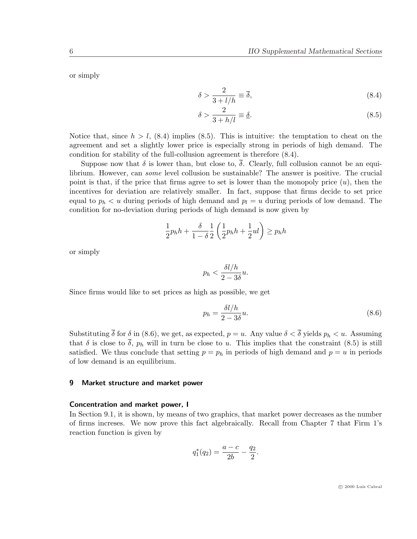or simply

$$
\delta > \frac{2}{3 + l/h} \equiv \overline{\delta},\tag{8.4}
$$

$$
\delta > \frac{2}{3 + h/l} \equiv \underline{\delta}.\tag{8.5}
$$

Notice that, since  $h > l$ , (8.4) implies (8.5). This is intuitive: the temptation to cheat on the agreement and set a slightly lower price is especially strong in periods of high demand. The condition for stability of the full-collusion agreement is therefore (8.4).

Suppose now that  $\delta$  is lower than, but close to,  $\overline{\delta}$ . Clearly, full collusion cannot be an equilibrium. However, can *some* level collusion be sustainable? The answer is positive. The crucial point is that, if the price that firms agree to set is lower than the monopoly price  $(u)$ , then the incentives for deviation are relatively smaller. In fact, suppose that firms decide to set price equal to  $p_h < u$  during periods of high demand and  $p_l = u$  during periods of low demand. The condition for no-deviation during periods of high demand is now given by

$$
\frac{1}{2}p_h h + \frac{\delta}{1-\delta} \frac{1}{2} \left( \frac{1}{2}p_h h + \frac{1}{2}ul \right) \ge p_h h
$$

or simply

$$
p_h < \frac{\delta l / h}{2 - 3\delta} u.
$$

Since firms would like to set prices as high as possible, we get

$$
p_h = \frac{\delta l / h}{2 - 3\delta} u.
$$
\n(8.6)

Substituting  $\bar{\delta}$  for  $\delta$  in (8.6), we get, as expected,  $p = u$ . Any value  $\delta < \bar{\delta}$  yields  $p_h < u$ . Assuming that  $\delta$  is close to  $\overline{\delta}$ ,  $p_h$  will in turn be close to u. This implies that the constraint (8.5) is still satisfied. We thus conclude that setting  $p = p_h$  in periods of high demand and  $p = u$  in periods of low demand is an equilibrium.

# 9 Market structure and market power

#### Concentration and market power, I

In Section 9.1, it is shown, by means of two graphics, that market power decreases as the number of firms increses. We now prove this fact algebraically. Recall from Chapter 7 that Firm 1's reaction function is given by

$$
q_1^*(q_2) = \frac{a-c}{2b} - \frac{q_2}{2}.
$$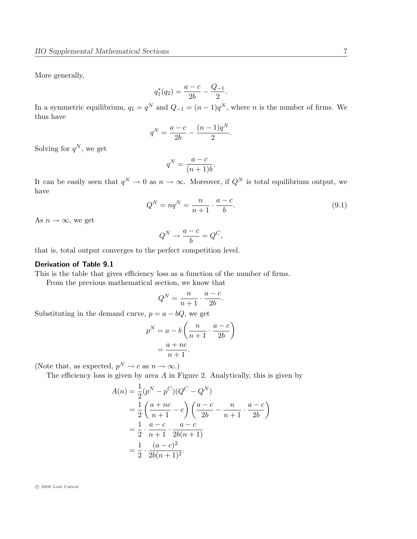More generally,

$$
q_1^*(q_2) = \frac{a-c}{2b} - \frac{Q_{-1}}{2}.
$$

In a symmetric equilibrium,  $q_1 = q^N$  and  $Q_{-1} = (n-1)q^N$ , where n is the number of firms. We thus have

$$
q^N = \frac{a-c}{2b} - \frac{(n-1)q^N}{2}.
$$

Solving for  $q^N$ , we get

$$
q^N = \frac{a-c}{(n+1)b}.
$$

It can be easily seen that  $q^N \to 0$  as  $n \to \infty$ . Moreover, if  $Q^N$  is total equilibrium output, we have

$$
Q^N = nq^N = \frac{n}{n+1} \cdot \frac{a-c}{b}.\tag{9.1}
$$

As  $n \to \infty$ , we get

$$
Q^N \to \frac{a-c}{b} = Q^C,
$$

that is, total output converges to the perfect competition level.

# Derivation of Table 9.1

This is the table that gives efficiency loss as a function of the number of firms.

From the previous mathematical section, we know that

$$
Q^N = \frac{n}{n+1} \cdot \frac{a-c}{2b}.
$$

Substituting in the demand curve,  $p = a - bQ$ , we get

$$
p^{N} = a - b \left( \frac{n}{n+1} \cdot \frac{a-c}{2b} \right)
$$

$$
= \frac{a+nc}{n+1}.
$$

(Note that, as expected,  $p^N \to c$  as  $n \to \infty$ .)

The efficiency loss is given by area  $A$  in Figure 2. Analytically, this is given by

$$
A(n) = \frac{1}{2}(p^{N} - p^{C})(Q^{C} - Q^{N})
$$
  
=  $\frac{1}{2} \left( \frac{a + nc}{n + 1} - c \right) \left( \frac{a - c}{2b} - \frac{n}{n + 1} \cdot \frac{a - c}{2b} \right)$   
=  $\frac{1}{2} \cdot \frac{a - c}{n + 1} \cdot \frac{a - c}{2b(n + 1)}$   
=  $\frac{1}{2} \cdot \frac{(a - c)^{2}}{2b(n + 1)^{2}}$ .

 $\odot$  2000 Luís Cabral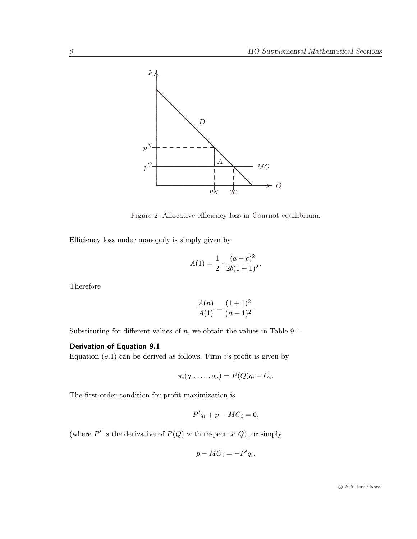

Figure 2: Allocative efficiency loss in Cournot equilibrium.

Efficiency loss under monopoly is simply given by

$$
A(1) = \frac{1}{2} \cdot \frac{(a-c)^2}{2b(1+1)^2}.
$$

Therefore

$$
\frac{A(n)}{A(1)} = \frac{(1+1)^2}{(n+1)^2}.
$$

Substituting for different values of  $n$ , we obtain the values in Table 9.1.

# Derivation of Equation 9.1

Equation  $(9.1)$  can be derived as follows. Firm i's profit is given by

$$
\pi_i(q_1,\ldots,q_n)=P(Q)q_i-C_i.
$$

The first-order condition for profit maximization is

$$
P'q_i + p - MC_i = 0,
$$

(where  $P'$  is the derivative of  $P(Q)$  with respect to  $Q$ ), or simply

$$
p - MC_i = -P'q_i.
$$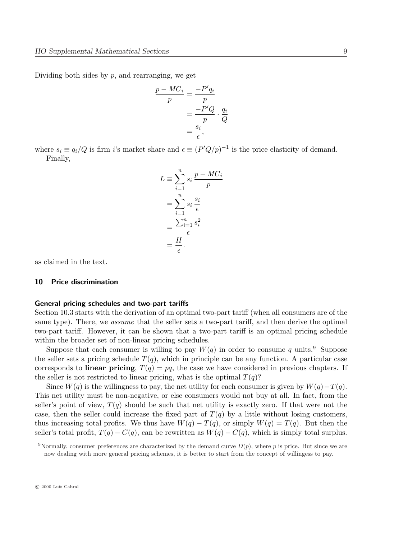Dividing both sides by  $p$ , and rearranging, we get

$$
\frac{p - MC_i}{p} = \frac{-P'q_i}{p}
$$

$$
= \frac{-P'Q}{p} \cdot \frac{q_i}{Q}
$$

$$
= \frac{s_i}{\epsilon},
$$

where  $s_i \equiv q_i/Q$  is firm i's market share and  $\epsilon \equiv (P'Q/p)^{-1}$  is the price elasticity of demand. Finally,

$$
L \equiv \sum_{i=1}^{n} s_i \frac{p - MC_i}{p}
$$

$$
= \sum_{i=1}^{n} s_i \frac{s_i}{\epsilon}
$$

$$
= \frac{\sum_{i=1}^{n} s_i^2}{\epsilon}
$$

$$
= \frac{H}{\epsilon}.
$$

as claimed in the text.

#### 10 Price discrimination

#### General pricing schedules and two-part tariffs

Section 10.3 starts with the derivation of an optimal two-part tariff (when all consumers are of the same type). There, we *assume* that the seller sets a two-part tariff, and then derive the optimal two-part tariff. However, it can be shown that a two-part tariff is an optimal pricing schedule within the broader set of non-linear pricing schedules.

Suppose that each consumer is willing to pay  $W(q)$  in order to consume q units.<sup>9</sup> Suppose the seller sets a pricing schedule  $T(q)$ , which in principle can be any function. A particular case corresponds to **linear pricing**,  $T(q) = pq$ , the case we have considered in previous chapters. If the seller is not restricted to linear pricing, what is the optimal  $T(q)$ ?

Since  $W(q)$  is the willingness to pay, the net utility for each consumer is given by  $W(q)-T(q)$ . This net utility must be non-negative, or else consumers would not buy at all. In fact, from the seller's point of view,  $T(q)$  should be such that net utility is exactly zero. If that were not the case, then the seller could increase the fixed part of  $T(q)$  by a little without losing customers, thus increasing total profits. We thus have  $W(q) - T(q)$ , or simply  $W(q) = T(q)$ . But then the seller's total profit,  $T(q) - C(q)$ , can be rewritten as  $W(q) - C(q)$ , which is simply total surplus.

<sup>&</sup>lt;sup>9</sup>Normally, consumer preferences are characterized by the demand curve  $D(p)$ , where p is price. But since we are now dealing with more general pricing schemes, it is better to start from the concept of willingess to pay.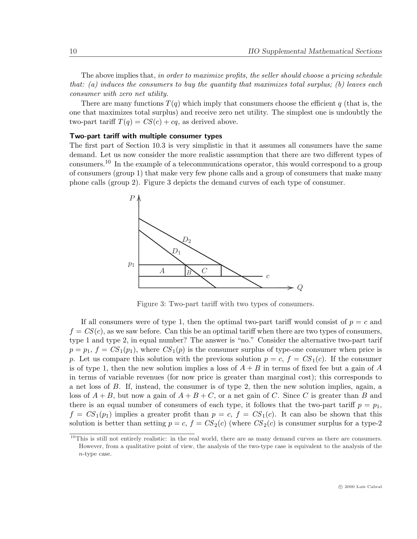The above implies that, in order to maximize profits, the seller should choose a pricing schedule that: (a) induces the consumers to buy the quantity that maximizes total surplus; (b) leaves each consumer with zero net utility.

There are many functions  $T(q)$  which imply that consumers choose the efficient q (that is, the one that maximizes total surplus) and receive zero net utility. The simplest one is undoubtly the two-part tariff  $T(q) = CS(c) + cq$ , as derived above.

## Two-part tariff with multiple consumer types

The first part of Section 10.3 is very simplistic in that it assumes all consumers have the same demand. Let us now consider the more realistic assumption that there are two different types of consumers.<sup>10</sup> In the example of a telecommunications operator, this would correspond to a group of consumers (group 1) that make very few phone calls and a group of consumers that make many phone calls (group 2). Figure 3 depicts the demand curves of each type of consumer.



Figure 3: Two-part tariff with two types of consumers.

If all consumers were of type 1, then the optimal two-part tariff would consist of  $p = c$  and  $f = CS(c)$ , as we saw before. Can this be an optimal tariff when there are two types of consumers, type 1 and type 2, in equal number? The answer is "no." Consider the alternative two-part tarif  $p = p_1, f = CS_1(p_1)$ , where  $CS_1(p)$  is the consumer surplus of type-one consumer when price is p. Let us compare this solution with the previous solution  $p = c$ ,  $f = CS<sub>1</sub>(c)$ . If the consumer is of type 1, then the new solution implies a loss of  $A + B$  in terms of fixed fee but a gain of A in terms of variable revenues (for now price is greater than marginal cost); this corresponds to a net loss of B. If, instead, the consumer is of type 2, then the new solution implies, again, a loss of  $A + B$ , but now a gain of  $A + B + C$ , or a net gain of C. Since C is greater than B and there is an equal number of consumers of each type, it follows that the two-part tariff  $p = p_1$ ,  $f = CS_1(p_1)$  implies a greater profit than  $p = c$ ,  $f = CS_1(c)$ . It can also be shown that this solution is better than setting  $p = c$ ,  $f = CS_2(c)$  (where  $CS_2(c)$  is consumer surplus for a type-2

 $10$ This is still not entirely realistic: in the real world, there are as many demand curves as there are consumers. However, from a qualitative point of view, the analysis of the two-type case is equivalent to the analysis of the n-type case.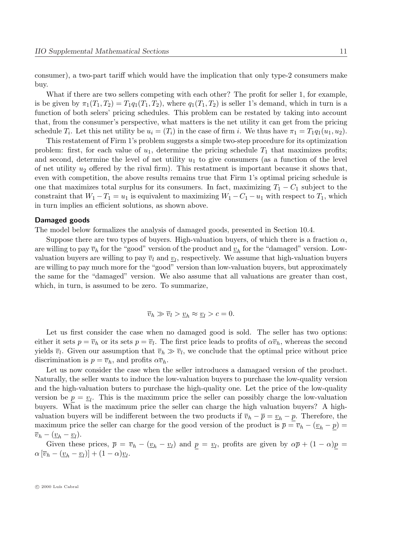consumer), a two-part tariff which would have the implication that only type-2 consumers make buy.

What if there are two sellers competing with each other? The profit for seller 1, for example, is be given by  $\pi_1(T_1, T_2) = T_1q_1(T_1, T_2)$ , where  $q_1(T_1, T_2)$  is seller 1's demand, which in turn is a function of both selers' pricing schedules. This problem can be restated by taking into account that, from the consumer's perspective, what matters is the net utility it can get from the pricing schedule  $T_i$ . Let this net utility be  $u_i = (T_i)$  in the case of firm i. We thus have  $\pi_1 = T_1 q_1(u_1, u_2)$ .

This restatement of Firm 1's problem suggests a simple two-step procedure for its optimization problem: first, for each value of  $u_1$ , determine the pricing schedule  $T_1$  that maximizes profits; and second, determine the level of net utility  $u_1$  to give consumers (as a function of the level of net utility  $u_2$  offered by the rival firm). This restatment is important because it shows that, even with competition, the above results remains true that Firm 1's optimal pricing schedule is one that maximizes total surplus for its consumers. In fact, maximizing  $T_1 - C_1$  subject to the constraint that  $W_1 - T_1 = u_1$  is equivalent to maximizing  $W_1 - C_1 - u_1$  with respect to  $T_1$ , which in turn implies an efficient solutions, as shown above.

#### Damaged goods

The model below formalizes the analysis of damaged goods, presented in Section 10.4.

Suppose there are two types of buyers. High-valuation buyers, of which there is a fraction  $\alpha$ , are willing to pay  $\overline{v}_h$  for the "good" version of the product and  $\underline{v}_h$  for the "damaged" version. Lowvaluation buyers are willing to pay  $\overline{v}_l$  and  $\underline{v}_l$ , respectively. We assume that high-valuation buyers are willing to pay much more for the "good" version than low-valuation buyers, but approximately the same for the "damaged" version. We also assume that all valuations are greater than cost, which, in turn, is assumed to be zero. To summarize,

$$
\overline{v}_h \gg \overline{v}_l > \underline{v}_h \approx \underline{v}_l > c = 0.
$$

Let us first consider the case when no damaged good is sold. The seller has two options: either it sets  $p = \overline{v}_h$  or its sets  $p = \overline{v}_l$ . The first price leads to profits of  $\alpha \overline{v}_h$ , whereas the second yields  $\overline{v}_l$ . Given our assumption that  $\overline{v}_h \gg \overline{v}_l$ , we conclude that the optimal price without price discrimination is  $p = \overline{v}_h$ , and profits  $\alpha \overline{v}_h$ .

Let us now consider the case when the seller introduces a damagaed version of the product. Naturally, the seller wants to induce the low-valuation buyers to purchase the low-quality version and the high-valuation buters to purchase the high-quality one. Let the price of the low-quality version be  $\underline{p} = \underline{v}_l$ . This is the maximum price the seller can possibly charge the low-valuation buyers. What is the maximum price the seller can charge the high valuation buyers? A highvaluation buyers will be indifferent between the two products if  $\overline{v}_h - \overline{p} = \underline{v}_h - p$ . Therefore, the maximum price the seller can charge for the good version of the product is  $\bar{p} = \bar{v}_h - (\underline{v}_h - \underline{p}) =$  $\overline{v}_h - (\underline{v}_h - \underline{v}_l).$ 

Given these prices,  $\bar{p} = \bar{v}_h - (\underline{v}_h - \underline{v}_l)$  and  $\underline{p} = \underline{v}_l$ , profits are given by  $\alpha \bar{p} + (1 - \alpha)\underline{p} =$  $\alpha \left[\overline{v}_h - \left(\underline{v}_h - \underline{v}_l\right)\right] + \left(1 - \alpha\right)\underline{v}_l.$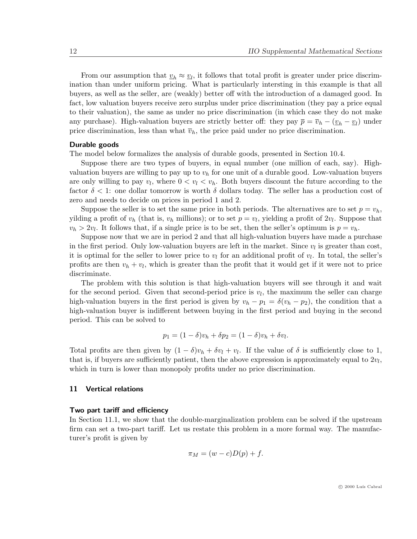From our assumption that  $\underline{v}_h \approx \underline{v}_l$ , it follows that total profit is greater under price discrimination than under uniform pricing. What is particularly intersting in this example is that all buyers, as well as the seller, are (weakly) better off with the introduction of a damaged good. In fact, low valuation buyers receive zero surplus under price discrimination (they pay a price equal to their valuation), the same as under no price discrimination (in which case they do not make any purchase). High-valuation buyers are strictly better off: they pay  $\bar{p} = \bar{v}_h - (\underline{v}_h - \underline{v}_l)$  under price discrimination, less than what  $\bar{v}_h$ , the price paid under no price discrimination.

# Durable goods

The model below formalizes the analysis of durable goods, presented in Section 10.4.

Suppose there are two types of buyers, in equal number (one million of each, say). Highvaluation buyers are willing to pay up to  $v<sub>h</sub>$  for one unit of a durable good. Low-valuation buyers are only willing to pay  $v_l$ , where  $0 < v_l < v_h$ . Both buyers discount the future according to the factor  $\delta$  < 1: one dollar tomorrow is worth  $\delta$  dollars today. The seller has a production cost of zero and needs to decide on prices in period 1 and 2.

Suppose the seller is to set the same price in both periods. The alternatives are to set  $p = v_h$ , yilding a profit of  $v_h$  (that is,  $v_h$  millions); or to set  $p = v_l$ , yielding a profit of  $2v_l$ . Suppose that  $v_h > 2v_l$ . It follows that, if a single price is to be set, then the seller's optimum is  $p = v_h$ .

Suppose now that we are in period 2 and that all high-valuation buyers have made a purchase in the first period. Only low-valuation buyers are left in the market. Since  $v_l$  is greater than cost, it is optimal for the seller to lower price to  $v_l$  for an additional profit of  $v_l$ . In total, the seller's profits are then  $v_h + v_l$ , which is greater than the profit that it would get if it were not to price discriminate.

The problem with this solution is that high-valuation buyers will see through it and wait for the second period. Given that second-period price is  $v_l$ , the maximum the seller can charge high-valuation buyers in the first period is given by  $v_h - p_1 = \delta(v_h - p_2)$ , the condition that a high-valuation buyer is indifferent between buying in the first period and buying in the second period. This can be solved to

$$
p_1 = (1 - \delta)v_h + \delta p_2 = (1 - \delta)v_h + \delta v_l.
$$

Total profits are then given by  $(1 - \delta)v_h + \delta v_l + v_l$ . If the value of  $\delta$  is sufficiently close to 1, that is, if buyers are sufficiently patient, then the above expression is approximately equal to  $2v_l$ , which in turn is lower than monopoly profits under no price discrimination.

## 11 Vertical relations

#### Two part tariff and efficiency

In Section 11.1, we show that the double-marginalization problem can be solved if the upstream firm can set a two-part tariff. Let us restate this problem in a more formal way. The manufacturer's profit is given by

$$
\pi_M = (w - c)D(p) + f.
$$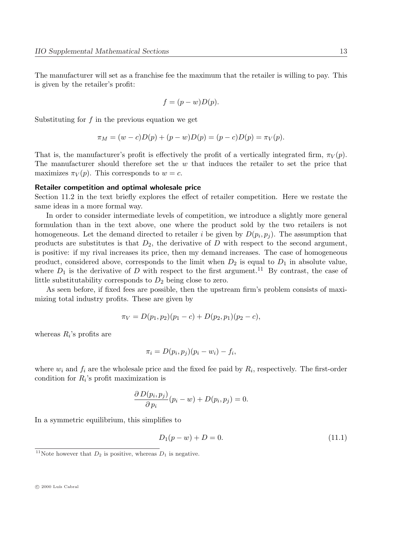The manufacturer will set as a franchise fee the maximum that the retailer is willing to pay. This is given by the retailer's profit:

$$
f = (p - w)D(p).
$$

Substituting for  $f$  in the previous equation we get

$$
\pi_M = (w - c)D(p) + (p - w)D(p) = (p - c)D(p) = \pi_V(p).
$$

That is, the manufacturer's profit is effectively the profit of a vertically integrated firm,  $\pi_V(p)$ . The manufacturer should therefore set the  $w$  that induces the retailer to set the price that maximizes  $\pi_V(p)$ . This corresponds to  $w = c$ .

### Retailer competition and optimal wholesale price

Section 11.2 in the text briefly explores the effect of retailer competition. Here we restate the same ideas in a more formal way.

In order to consider intermediate levels of competition, we introduce a slightly more general formulation than in the text above, one where the product sold by the two retailers is not homogeneous. Let the demand directed to retailer i be given by  $D(p_i, p_j)$ . The assumption that products are substitutes is that  $D_2$ , the derivative of D with respect to the second argument, is positive: if my rival increases its price, then my demand increases. The case of homogeneous product, considered above, corresponds to the limit when  $D_2$  is equal to  $D_1$  in absolute value, where  $D_1$  is the derivative of D with respect to the first argument.<sup>11</sup> By contrast, the case of little substitutability corresponds to  $D_2$  being close to zero.

As seen before, if fixed fees are possible, then the upstream firm's problem consists of maximizing total industry profits. These are given by

$$
\pi_V = D(p_1, p_2)(p_1 - c) + D(p_2, p_1)(p_2 - c),
$$

whereas  $R_i$ 's profits are

$$
\pi_i = D(p_i, p_j)(p_i - w_i) - f_i,
$$

where  $w_i$  and  $f_i$  are the wholesale price and the fixed fee paid by  $R_i$ , respectively. The first-order condition for  $R_i$ 's profit maximization is

$$
\frac{\partial D(p_i, p_j)}{\partial p_i}(p_i - w) + D(p_i, p_j) = 0.
$$

In a symmetric equilibrium, this simplifies to

$$
D_1(p - w) + D = 0.\t(11.1)
$$

 $\odot$  2000 Luís Cabral

<sup>&</sup>lt;sup>11</sup>Note however that  $D_2$  is positive, whereas  $D_1$  is negative.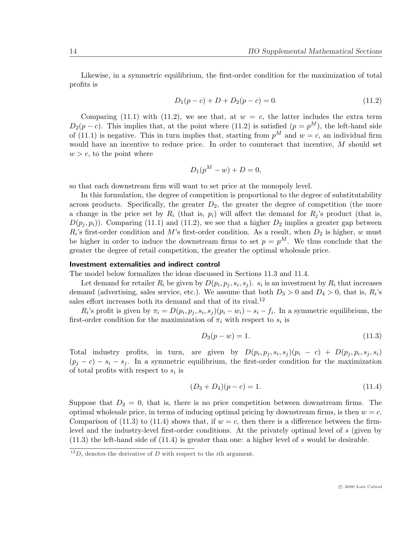Likewise, in a symmetric equilibrium, the first-order condition for the maximization of total profits is

$$
D_1(p-c) + D + D_2(p-c) = 0.
$$
\n(11.2)

Comparing (11.1) with (11.2), we see that, at  $w = c$ , the latter includes the extra term  $D_2(p-c)$ . This implies that, at the point where (11.2) is satisfied  $(p = p<sup>M</sup>)$ , the left-hand side of (11.1) is negative. This in turn implies that, starting from  $p^M$  and  $w = c$ , an individual firm would have an incentive to reduce price. In order to counteract that incentive, M should set  $w > c$ , to the point where

$$
D_1(p^M - w) + D = 0,
$$

so that each downstream firm will want to set price at the monopoly level.

In this formulation, the degree of competition is proportional to the degree of substitutability across products. Specifically, the greater  $D_2$ , the greater the degree of competition (the more a change in the price set by  $R_i$  (that is,  $p_i$ ) will affect the demand for  $R_i$ 's product (that is,  $D(p_i, p_i)$ . Comparing (11.1) and (11.2), we see that a higher  $D_2$  implies a greater gap between  $R_i$ 's first-order condition and M's first-order condition. As a result, when  $D_2$  is higher, w must be higher in order to induce the downstream firms to set  $p = p^M$ . We thus conclude that the greater the degree of retail competition, the greater the optimal wholesale price.

#### Investment externalities and indirect control

The model below formalizes the ideas discussed in Sections 11.3 and 11.4.

Let demand for retailer  $R_i$  be given by  $D(p_i, p_j, s_i, s_j)$ .  $s_i$  is an investment by  $R_i$  that increases demand (advertising, sales service, etc.). We assume that both  $D_3 > 0$  and  $D_4 > 0$ , that is,  $R_i$ 's sales effort increases both its demand and that of its rival.<sup>12</sup>

 $R_i$ 's profit is given by  $\pi_i = D(p_i, p_j, s_i, s_j)(p_i - w_i) - s_i - f_i$ . In a symmetric equilibrium, the first-order condition for the maximization of  $\pi_i$  with respect to  $s_i$  is

$$
D_3(p - w) = 1.
$$
\n(11.3)

Total industry profits, in turn, are given by  $D(p_i, p_j, s_i, s_j)(p_i - c) + D(p_j, p_i, s_j, s_i)$  $(p_i - c) - s_i - s_j$ . In a symmetric equilibrium, the first-order condition for the maximization of total profits with respect to  $s_i$  is

$$
(D_3 + D_4)(p - c) = 1.
$$
\n(11.4)

Suppose that  $D_2 = 0$ , that is, there is no price competition between downstream firms. The optimal wholesale price, in terms of inducing optimal pricing by downstream firms, is then  $w = c$ . Comparison of (11.3) to (11.4) shows that, if  $w = c$ , then there is a difference between the firmlevel and the industry-level first-order conditions. At the privately optimal level of s (given by (11.3) the left-hand side of (11.4) is greater than one: a higher level of s would be desirable.

 $^{12}D_i$  denotes the derivative of D with respect to the *i*th argument.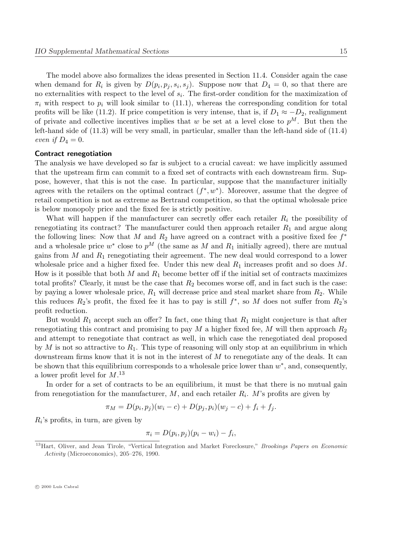The model above also formalizes the ideas presented in Section 11.4. Consider again the case when demand for  $R_i$  is given by  $D(p_i, p_j, s_i, s_j)$ . Suppose now that  $D_4 = 0$ , so that there are no externalities with respect to the level of  $s_i$ . The first-order condition for the maximization of  $\pi_i$  with respect to  $p_i$  will look similar to (11.1), whereas the corresponding condition for total profits will be like (11.2). If price competition is very intense, that is, if  $D_1 \approx -D_2$ , realignment of private and collective incentives implies that w be set at a level close to  $p^M$ . But then the left-hand side of (11.3) will be very small, in particular, smaller than the left-hand side of (11.4) even if  $D_4 = 0$ .

### Contract renegotiation

The analysis we have developed so far is subject to a crucial caveat: we have implicitly assumed that the upstream firm can commit to a fixed set of contracts with each downstream firm. Suppose, however, that this is not the case. In particular, suppose that the manufacturer initially agrees with the retailers on the optimal contract  $(f^*, w^*)$ . Moreover, assume that the degree of retail competition is not as extreme as Bertrand competition, so that the optimal wholesale price is below monopoly price and the fixed fee is strictly positive.

What will happen if the manufacturer can secretly offer each retailer  $R_i$  the possibility of renegotiating its contract? The manufacturer could then approach retailer  $R_1$  and argue along the following lines: Now that M and  $R_2$  have agreed on a contract with a positive fixed fee  $f^*$ and a wholesale price  $w^*$  close to  $p^M$  (the same as M and  $R_1$  initially agreed), there are mutual gains from  $M$  and  $R_1$  renegotiating their agreement. The new deal would correspond to a lower wholesale price and a higher fixed fee. Under this new deal  $R_1$  increases profit and so does M. How is it possible that both M and  $R_1$  become better off if the initial set of contracts maximizes total profits? Clearly, it must be the case that  $R_2$  becomes worse off, and in fact such is the case: by paying a lower wholesale price,  $R_1$  will decrease price and steal market share from  $R_2$ . While this reduces  $R_2$ 's profit, the fixed fee it has to pay is still  $f^*$ , so M does not suffer from  $R_2$ 's profit reduction.

But would  $R_1$  accept such an offer? In fact, one thing that  $R_1$  might conjecture is that after renegotiating this contract and promising to pay M a higher fixed fee, M will then approach  $R_2$ and attempt to renegotiate that contract as well, in which case the renegotiated deal proposed by M is not so attractive to  $R_1$ . This type of reasoning will only stop at an equilibrium in which downstream firms know that it is not in the interest of M to renegotiate any of the deals. It can be shown that this equilibrium corresponds to a wholesale price lower than  $w^*$ , and, consequently, a lower profit level for  $M$ .<sup>13</sup>

In order for a set of contracts to be an equilibrium, it must be that there is no mutual gain from renegotiation for the manufacturer,  $M$ , and each retailer  $R_i$ . M's profits are given by

$$
\pi_M = D(p_i, p_j)(w_i - c) + D(p_j, p_i)(w_j - c) + f_i + f_j.
$$

 $R_i$ 's profits, in turn, are given by

$$
\pi_i = D(p_i, p_j)(p_i - w_i) - f_i,
$$

 $\odot$  2000 Luís Cabral

<sup>&</sup>lt;sup>13</sup>Hart, Oliver, and Jean Tirole, "Vertical Integration and Market Foreclosure," Brookings Papers on Economic Activity (Microeconomics), 205–276, 1990.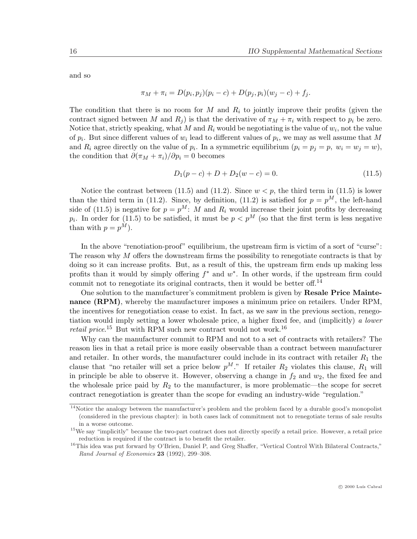and so

$$
\pi_M + \pi_i = D(p_i, p_j)(p_i - c) + D(p_j, p_i)(w_j - c) + f_j.
$$

The condition that there is no room for M and  $R_i$  to jointly improve their profits (given the contract signed between M and  $R_i$ ) is that the derivative of  $\pi_M + \pi_i$  with respect to  $p_i$  be zero. Notice that, strictly speaking, what M and  $R_i$  would be negotiating is the value of  $w_i$ , not the value of  $p_i$ . But since different values of  $w_i$  lead to different values of  $p_i$ , we may as well assume that M and  $R_i$  agree directly on the value of  $p_i$ . In a symmetric equilibrium  $(p_i = p_j = p, w_i = w_j = w)$ , the condition that  $\partial(\pi_M + \pi_i)/\partial p_i = 0$  becomes

$$
D_1(p-c) + D + D_2(w-c) = 0.
$$
\n(11.5)

Notice the contrast between (11.5) and (11.2). Since  $w < p$ , the third term in (11.5) is lower than the third term in (11.2). Since, by definition, (11.2) is satisfied for  $p = p^M$ , the left-hand side of (11.5) is negative for  $p = p^M$ : M and  $R_i$  would increase their joint profits by decreasing  $p_i$ . In order for (11.5) to be satisfied, it must be  $p < p^M$  (so that the first term is less negative than with  $p = p^M$ ).

In the above "renotiation-proof" equilibrium, the upstream firm is victim of a sort of "curse": The reason why M offers the downstream firms the possibility to renegotiate contracts is that by doing so it can increase profits. But, as a result of this, the upstream firm ends up making less profits than it would by simply offering  $f^*$  and  $w^*$ . In other words, if the upstream firm could commit not to renegotiate its original contracts, then it would be better off.<sup>14</sup>

One solution to the manufacturer's commitment problem is given by Resale Price Maintenance (RPM), whereby the manufacturer imposes a minimum price on retailers. Under RPM, the incentives for renegotiation cease to exist. In fact, as we saw in the previous section, renegotiation would imply setting a lower wholesale price, a higher fixed fee, and (implicitly) a lower retail price.<sup>15</sup> But with RPM such new contract would not work.<sup>16</sup>

Why can the manufacturer commit to RPM and not to a set of contracts with retailers? The reason lies in that a retail price is more easily observable than a contract between manufacturer and retailer. In other words, the manufacturer could include in its contract with retailer  $R_1$  the clause that "no retailer will set a price below  $p^M$ ." If retailer  $R_2$  violates this clause,  $R_1$  will in principle be able to observe it. However, observing a change in  $f_2$  and  $w_2$ , the fixed fee and the wholesale price paid by  $R_2$  to the manufacturer, is more problematic—the scope for secret contract renegotiation is greater than the scope for evading an industry-wide "regulation."

<sup>&</sup>lt;sup>14</sup>Notice the analogy between the manufacturer's problem and the problem faced by a durable good's monopolist (considered in the previous chapter): in both cases lack of commitment not to renegotiate terms of sale results in a worse outcome.

<sup>&</sup>lt;sup>15</sup>We say "implicitly" because the two-part contract does not directly specify a retail price. However, a retail price reduction is required if the contract is to benefit the retailer.

<sup>&</sup>lt;sup>16</sup>This idea was put forward by O'Brien, Daniel P, and Greg Shaffer, "Vertical Control With Bilateral Contracts," Rand Journal of Economics 23 (1992), 299–308.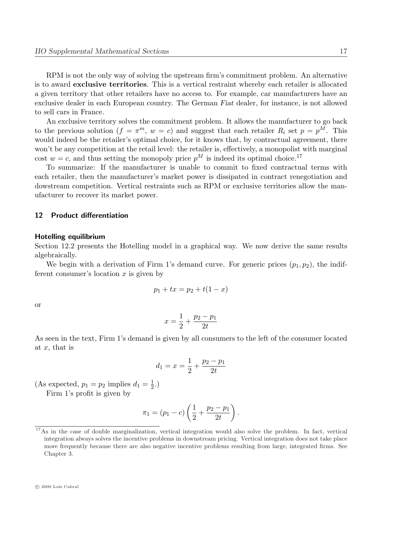RPM is not the only way of solving the upstream firm's commitment problem. An alternative is to award exclusive territories. This is a vertical restraint whereby each retailer is allocated a given territory that other retailers have no access to. For example, car manufacturers have an exclusive dealer in each European country. The German Fiat dealer, for instance, is not allowed to sell cars in France.

An exclusive territory solves the commitment problem. It allows the manufacturer to go back to the previous solution  $(f = \pi^m, w = c)$  and suggest that each retailer  $R_i$  set  $p = p^M$ . This would indeed be the retailer's optimal choice, for it knows that, by contractual agreement, there won't be any competition at the retail level: the retailer is, effectively, a monopolist with marginal cost  $w = c$ , and thus setting the monopoly price  $p^M$  is indeed its optimal choice.<sup>17</sup>

To summarize: If the manufacturer is unable to commit to fixed contractual terms with each retailer, then the manufacturer's market power is dissipated in contract renegotiation and dowstream competition. Vertical restraints such as RPM or exclusive territories allow the manufacturer to recover its market power.

## 12 Product differentiation

#### Hotelling equilibrium

Section 12.2 presents the Hotelling model in a graphical way. We now derive the same results algebraically.

We begin with a derivation of Firm 1's demand curve. For generic prices  $(p_1, p_2)$ , the indifferent consumer's location  $x$  is given by

$$
p_1 + tx = p_2 + t(1 - x)
$$

or

$$
x = \frac{1}{2} + \frac{p_2 - p_1}{2t}
$$

As seen in the text, Firm 1's demand is given by all consumers to the left of the consumer located at  $x$ , that is

$$
d_1 = x = \frac{1}{2} + \frac{p_2 - p_1}{2t}
$$

(As expected,  $p_1 = p_2$  implies  $d_1 = \frac{1}{2}$  $(\frac{1}{2},)$ 

Firm 1's profit is given by

$$
\pi_1 = (p_1 - c) \left( \frac{1}{2} + \frac{p_2 - p_1}{2t} \right).
$$

<sup>&</sup>lt;sup>17</sup>As in the case of double marginalization, vertical integration would also solve the problem. In fact, vertical integration always solves the incentive problems in downstream pricing. Vertical integration does not take place more frequently because there are also negative incentive problems resulting from large, integrated firms. See Chapter 3.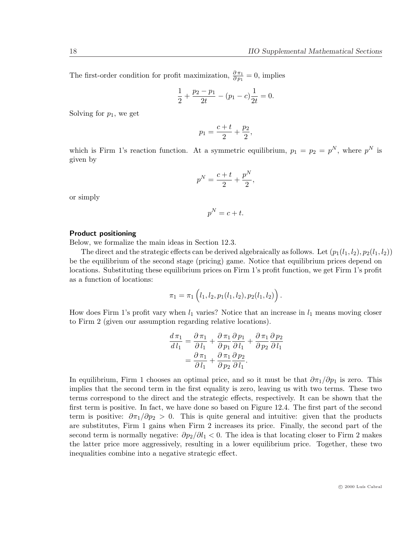The first-order condition for profit maximization,  $\frac{\partial \pi_1}{\partial p_1} = 0$ , implies

$$
\frac{1}{2} + \frac{p_2 - p_1}{2t} - (p_1 - c)\frac{1}{2t} = 0.
$$

Solving for  $p_1$ , we get

$$
p_1 = \frac{c+t}{2} + \frac{p_2}{2},
$$

which is Firm 1's reaction function. At a symmetric equilibrium,  $p_1 = p_2 = p^N$ , where  $p^N$  is given by

$$
p^N = \frac{c+t}{2} + \frac{p^N}{2},
$$

or simply

$$
p^N = c + t.
$$

#### Product positioning

Below, we formalize the main ideas in Section 12.3.

The direct and the strategic effects can be derived algebraically as follows. Let  $(p_1(l_1, l_2), p_2(l_1, l_2))$ be the equilibrium of the second stage (pricing) game. Notice that equilibrium prices depend on locations. Substituting these equilibrium prices on Firm 1's profit function, we get Firm 1's profit as a function of locations:

$$
\pi_1 = \pi_1(l_1, l_2, p_1(l_1, l_2), p_2(l_1, l_2)).
$$

How does Firm 1's profit vary when  $l_1$  varies? Notice that an increase in  $l_1$  means moving closer to Firm 2 (given our assumption regarding relative locations).

$$
\frac{d \pi_1}{d l_1} = \frac{\partial \pi_1}{\partial l_1} + \frac{\partial \pi_1}{\partial p_1} \frac{\partial p_1}{\partial l_1} + \frac{\partial \pi_1}{\partial p_2} \frac{\partial p_2}{\partial l_1}
$$

$$
= \frac{\partial \pi_1}{\partial l_1} + \frac{\partial \pi_1}{\partial p_2} \frac{\partial p_2}{\partial l_1}.
$$

In equilibrium, Firm 1 chooses an optimal price, and so it must be that  $\partial \pi_1/\partial p_1$  is zero. This implies that the second term in the first equality is zero, leaving us with two terms. These two terms correspond to the direct and the strategic effects, respectively. It can be shown that the first term is positive. In fact, we have done so based on Figure 12.4. The first part of the second term is positive:  $\partial \pi_1/\partial p_2 > 0$ . This is quite general and intuitive: given that the products are substitutes, Firm 1 gains when Firm 2 increases its price. Finally, the second part of the second term is normally negative:  $\partial p_2/\partial l_1 < 0$ . The idea is that locating closer to Firm 2 makes the latter price more aggressively, resulting in a lower equilibrium price. Together, these two inequalities combine into a negative strategic effect.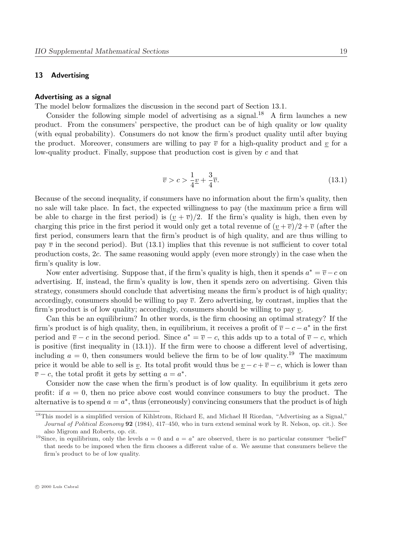# 13 Advertising

## Advertising as a signal

The model below formalizes the discussion in the second part of Section 13.1.

Consider the following simple model of advertising as a signal.<sup>18</sup> A firm launches a new product. From the consumers' perspective, the product can be of high quality or low quality (with equal probability). Consumers do not know the firm's product quality until after buying the product. Moreover, consumers are willing to pay  $\bar{v}$  for a high-quality product and v for a low-quality product. Finally, suppose that production cost is given by  $c$  and that

$$
\overline{v} > c > \frac{1}{4}\underline{v} + \frac{3}{4}\overline{v}.\tag{13.1}
$$

Because of the second inequality, if consumers have no information about the firm's quality, then no sale will take place. In fact, the expected willingness to pay (the maximum price a firm will be able to charge in the first period) is  $(\nu + \overline{\nu})/2$ . If the firm's quality is high, then even by charging this price in the first period it would only get a total revenue of  $(v + \overline{v})/2 + \overline{v}$  (after the first period, consumers learn that the firm's product is of high quality, and are thus willing to pay  $\bar{v}$  in the second period). But (13.1) implies that this revenue is not sufficient to cover total production costs, 2c. The same reasoning would apply (even more strongly) in the case when the firm's quality is low.

Now enter advertising. Suppose that, if the firm's quality is high, then it spends  $a^* = \overline{v} - c$  on advertising. If, instead, the firm's quality is low, then it spends zero on advertising. Given this strategy, consumers should conclude that advertising means the firm's product is of high quality; accordingly, consumers should be willing to pay  $\overline{v}$ . Zero advertising, by contrast, implies that the firm's product is of low quality; accordingly, consumers should be willing to pay  $\underline{v}$ .

Can this be an equilibrium? In other words, is the firm choosing an optimal strategy? If the firm's product is of high quality, then, in equilibrium, it receives a profit of  $\overline{v} - c - a^*$  in the first period and  $\overline{v} - c$  in the second period. Since  $a^* = \overline{v} - c$ , this adds up to a total of  $\overline{v} - c$ , which is positive (first inequality in (13.1)). If the firm were to choose a different level of advertising, including  $a = 0$ , then consumers would believe the firm to be of low quality.<sup>19</sup> The maximum price it would be able to sell is <u>v</u>. Its total profit would thus be  $\underline{v} - c + \overline{v} - c$ , which is lower than  $\overline{v} - c$ , the total profit it gets by setting  $a = a^*$ .

Consider now the case when the firm's product is of low quality. In equilibrium it gets zero profit: if  $a = 0$ , then no price above cost would convince consumers to buy the product. The alternative is to spend  $a = a^*$ , thus (erroneously) convincing consumers that the product is of high

<sup>18</sup>This model is a simplified version of Kihlstrom, Richard E, and Michael H Riordan, "Advertising as a Signal," Journal of Political Economy 92 (1984), 417–450, who in turn extend seminal work by R. Nelson, op. cit.). See also Migrom and Roberts, op. cit.

<sup>&</sup>lt;sup>19</sup>Since, in equilibrium, only the levels  $a = 0$  and  $a = a^*$  are observed, there is no particular consumer "belief" that needs to be imposed when the firm chooses a different value of a. We assume that consumers believe the firm's product to be of low quality.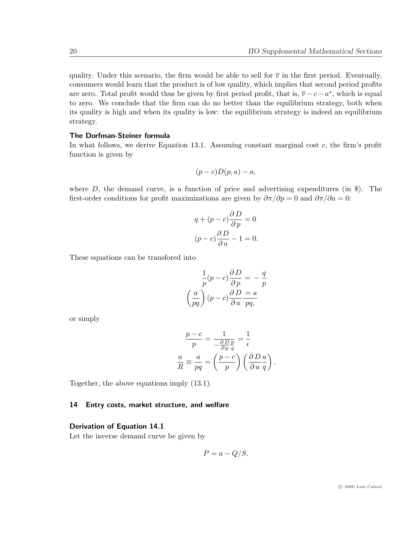quality. Under this scenario, the firm would be able to sell for  $\bar{v}$  in the first period. Eventually, consumers would learn that the product is of low quality, which implies that second period profits are zero. Total profit would thus be given by first period profit, that is,  $\overline{v} - c - a^*$ , which is equal to zero. We conclude that the firm can do no better than the equilibrium strategy, both when its quality is high and when its quality is low: the equilibrium strategy is indeed an equilibrium strategy.

# The Dorfman-Steiner formula

In what follows, we derive Equation 13.1. Assuming constant marginal cost  $c$ , the firm's profit function is given by

$$
(p-c)D(p,a)-a,
$$

where  $D$ , the demand curve, is a function of price and advertising expenditures (in \$). The first-order conditions for profit maximizationa are given by  $\partial \pi / \partial p = 0$  and  $\partial \pi / \partial a = 0$ :

$$
q + (p - c)\frac{\partial D}{\partial p} = 0
$$

$$
(p - c)\frac{\partial D}{\partial a} - 1 = 0.
$$

These equations can be transfored into

$$
\frac{1}{p}(p-c)\frac{\partial D}{\partial p} = -\frac{q}{p}
$$

$$
\left(\frac{a}{pq}\right)(p-c)\frac{\partial D}{\partial a}\frac{a}{pq},
$$

or simply

$$
\frac{p-c}{p} = \frac{1}{-\frac{\partial D}{\partial p}\frac{p}{q}} = \frac{1}{\epsilon}
$$

$$
\frac{a}{R} = \frac{a}{pq} = \left(\frac{p-c}{p}\right) \left(\frac{\partial D}{\partial a}\frac{a}{q}\right).
$$

Together, the above equations imply (13.1).

## 14 Entry costs, market structure, and welfare

#### Derivation of Equation 14.1

Let the inverse demand curve be given by

$$
P = a - Q/S.
$$

 $\odot$  2000 Luís Cabral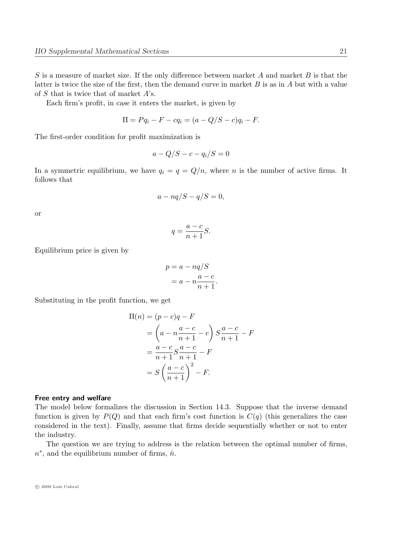S is a measure of market size. If the only difference between market A and market B is that the latter is twice the size of the first, then the demand curve in market  $B$  is as in  $A$  but with a value of S that is twice that of market A's.

Each firm's profit, in case it enters the market, is given by

$$
\Pi = Pq_i - F - cq_i = (a - Q/S - c)q_i - F.
$$

The first-order condition for profit maximization is

$$
a - Q/S - c - q_i/S = 0
$$

In a symmetric equilibrium, we have  $q_i = q = Q/n$ , where n is the number of active firms. It follows that

$$
a-nq/S-q/S=0,
$$

or

$$
q = \frac{a-c}{n+1}S.
$$

Equilibrium price is given by

$$
p = a - nq/S
$$

$$
= a - n\frac{a - c}{n + 1}.
$$

Substituting in the profit function, we get

$$
\Pi(n) = (p - c)q - F
$$
\n
$$
= \left(a - n\frac{a - c}{n + 1} - c\right) S \frac{a - c}{n + 1} - F
$$
\n
$$
= \frac{a - c}{n + 1} S \frac{a - c}{n + 1} - F
$$
\n
$$
= S \left(\frac{a - c}{n + 1}\right)^2 - F.
$$

#### Free entry and welfare

The model below formalizes the discussion in Section 14.3. Suppose that the inverse demand function is given by  $P(Q)$  and that each firm's cost function is  $C(q)$  (this generalizes the case considered in the text). Finally, assume that firms decide sequentially whether or not to enter the industry.

The question we are trying to address is the relation between the optimal number of firms,  $n^*$ , and the equilibrium number of firms,  $\hat{n}$ .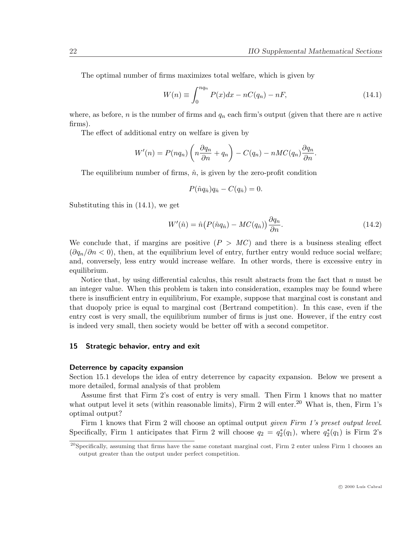The optimal number of firms maximizes total welfare, which is given by

$$
W(n) \equiv \int_0^{nq_n} P(x)dx - nC(q_n) - nF,
$$
\n(14.1)

where, as before, n is the number of firms and  $q_n$  each firm's output (given that there are n active firms).

The effect of additional entry on welfare is given by

$$
W'(n) = P(nq_n) \left( n \frac{\partial q_n}{\partial n} + q_n \right) - C(q_n) - nMC(q_n) \frac{\partial q_n}{\partial n}.
$$

The equilibrium number of firms,  $\hat{n}$ , is given by the zero-profit condition

$$
P(\hat{n}q_{\hat{n}})q_{\hat{n}} - C(q_{\hat{n}}) = 0.
$$

Substituting this in (14.1), we get

$$
W'(\hat{n}) = \hat{n} \left( P(\hat{n}q_{\hat{n}}) - MC(q_{\hat{n}}) \right) \frac{\partial q_n}{\partial n}.
$$
\n(14.2)

We conclude that, if margins are positive  $(P > MC)$  and there is a business stealing effect  $(\partial q_n/\partial n < 0)$ , then, at the equilibrium level of entry, further entry would reduce social welfare; and, conversely, less entry would increase welfare. In other words, there is excessive entry in equilibrium.

Notice that, by using differential calculus, this result abstracts from the fact that  $n$  must be an integer value. When this problem is taken into consideration, examples may be found where there is insufficient entry in equilibrium, For example, suppose that marginal cost is constant and that duopoly price is equal to marginal cost (Bertrand competition). In this case, even if the entry cost is very small, the equilibrium number of firms is just one. However, if the entry cost is indeed very small, then society would be better off with a second competitor.

#### 15 Strategic behavior, entry and exit

#### Deterrence by capacity expansion

Section 15.1 develops the idea of entry deterrence by capacity expansion. Below we present a more detailed, formal analysis of that problem

Assume first that Firm 2's cost of entry is very small. Then Firm 1 knows that no matter what output level it sets (within reasonable limits), Firm 2 will enter.<sup>20</sup> What is, then, Firm 1's optimal output?

Firm 1 knows that Firm 2 will choose an optimal output *given Firm 1's preset output level*. Specifically, Firm 1 anticipates that Firm 2 will choose  $q_2 = q_2^*(q_1)$ , where  $q_2^*(q_1)$  is Firm 2's

 $^{20}$ Specifically, assuming that firms have the same constant marginal cost, Firm 2 enter unless Firm 1 chooses an output greater than the output under perfect competition.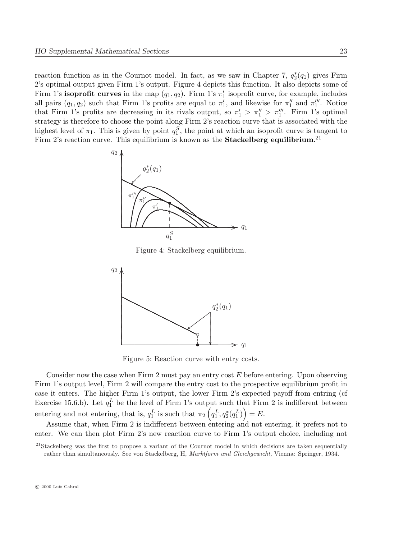reaction function as in the Cournot model. In fact, as we saw in Chapter 7,  $q_2^*(q_1)$  gives Firm 2's optimal output given Firm 1's output. Figure 4 depicts this function. It also depicts some of Firm 1's **isoprofit curves** in the map  $(q_1, q_2)$ . Firm 1's  $\pi'_1$  isoprofit curve, for example, includes all pairs  $(q_1, q_2)$  such that Firm 1's profits are equal to  $\pi'_1$ , and likewise for  $\pi''_1$  and  $\pi'''_1$ . Notice that Firm 1's profits are decreasing in its rivals output, so  $\pi'_1 > \pi''_1 > \pi''_1$ . Firm 1's optimal strategy is therefore to choose the point along Firm 2's reaction curve that is associated with the highest level of  $\pi_1$ . This is given by point  $q_1^S$ , the point at which an isoprofit curve is tangent to Firm 2's reaction curve. This equilibrium is known as the **Stackelberg equilibrium**.<sup>21</sup>



Figure 4: Stackelberg equilibrium.



Figure 5: Reaction curve with entry costs.

Consider now the case when Firm 2 must pay an entry cost  $E$  before entering. Upon observing Firm 1's output level, Firm 2 will compare the entry cost to the prospective equilibrium profit in case it enters. The higher Firm 1's output, the lower Firm 2's expected payoff from entring (cf Exercise 15.6.b). Let  $q_1^L$  be the level of Firm 1's output such that Firm 2 is indifferent between entering and not entering, that is,  $q_1^L$  is such that  $\pi_2\left(q_1^L, q_2^*(q_1^L)\right) = E$ .

Assume that, when Firm 2 is indifferent between entering and not entering, it prefers not to enter. We can then plot Firm 2's new reaction curve to Firm 1's output choice, including not

<sup>&</sup>lt;sup>21</sup>Stackelberg was the first to propose a variant of the Cournot model in which decisions are taken sequentially rather than simultaneously. See von Stackelberg, H, Marktform und Gleichgewicht, Vienna: Springer, 1934.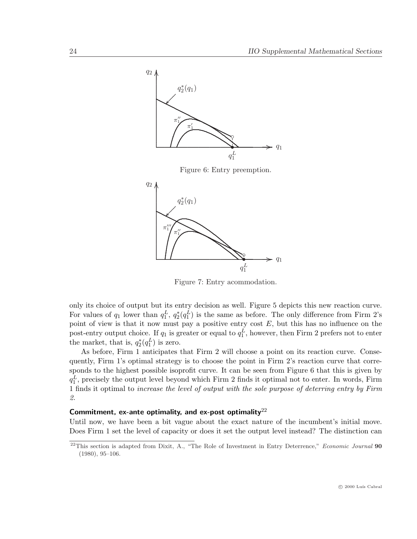

Figure 7: Entry acommodation.

only its choice of output but its entry decision as well. Figure 5 depicts this new reaction curve. For values of  $q_1$  lower than  $q_1^L$ ,  $q_2^*(q_1^L)$  is the same as before. The only difference from Firm 2's point of view is that it now must pay a positive entry cost  $E$ , but this has no influence on the post-entry output choice. If  $q_1$  is greater or equal to  $q_1^L$ , however, then Firm 2 prefers not to enter the market, that is,  $q_2^*(q_1^L)$  is zero.

As before, Firm 1 anticipates that Firm 2 will choose a point on its reaction curve. Consequently, Firm 1's optimal strategy is to choose the point in Firm 2's reaction curve that corresponds to the highest possible isoprofit curve. It can be seen from Figure 6 that this is given by  $q_1^L$ , precisely the output level beyond which Firm 2 finds it optimal not to enter. In words, Firm 1 finds it optimal to increase the level of output with the sole purpose of deterring entry by Firm 2.

# Commitment, ex-ante optimality, and ex-post optimality<sup>22</sup>

Until now, we have been a bit vague about the exact nature of the incumbent's initial move. Does Firm 1 set the level of capacity or does it set the output level instead? The distinction can

 $22$ This section is adapted from Dixit, A., "The Role of Investment in Entry Deterrence," Economic Journal 90 (1980), 95–106.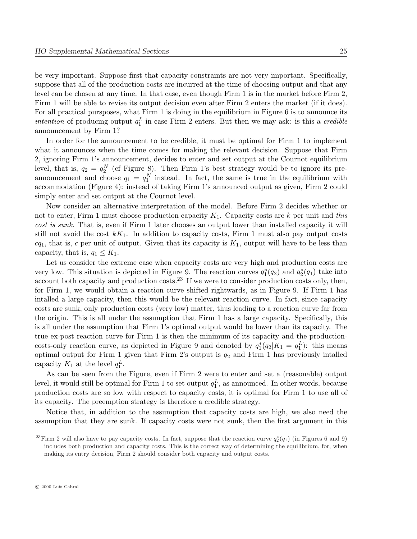be very important. Suppose first that capacity constraints are not very important. Specifically, suppose that all of the production costs are incurred at the time of choosing output and that any level can be chosen at any time. In that case, even though Firm 1 is in the market before Firm 2, Firm 1 will be able to revise its output decision even after Firm 2 enters the market (if it does). For all practical pursposes, what Firm 1 is doing in the equilibrium in Figure 6 is to announce its *intention* of producing output  $q_1^L$  in case Firm 2 enters. But then we may ask: is this a *credible* announcement by Firm 1?

In order for the announcement to be credible, it must be optimal for Firm 1 to implement what it announces when the time comes for making the relevant decision. Suppose that Firm 2, ignoring Firm 1's announcement, decides to enter and set output at the Cournot equilibrium level, that is,  $q_2 = q_2^N$  (cf Figure 8). Then Firm 1's best strategy would be to ignore its preannouncement and choose  $q_1 = q_1^N$  instead. In fact, the same is true in the equilibrium with accommodation (Figure 4): instead of taking Firm 1's announced output as given, Firm 2 could simply enter and set output at the Cournot level.

Now consider an alternative interpretation of the model. Before Firm 2 decides whether or not to enter, Firm 1 must choose production capacity  $K_1$ . Capacity costs are k per unit and this cost is sunk. That is, even if Firm 1 later chooses an output lower than installed capacity it will still not avoid the cost  $kK_1$ . In addition to capacity costs, Firm 1 must also pay output costs  $cq_1$ , that is, c per unit of output. Given that its capacity is  $K_1$ , output will have to be less than capacity, that is,  $q_1 \leq K_1$ .

Let us consider the extreme case when capacity costs are very high and production costs are very low. This situation is depicted in Figure 9. The reaction curves  $q_1^*(q_2)$  and  $q_2^*(q_1)$  take into account both capacity and production costs.<sup>23</sup> If we were to consider production costs only, then, for Firm 1, we would obtain a reaction curve shifted rightwards, as in Figure 9. If Firm 1 has intalled a large capacity, then this would be the relevant reaction curve. In fact, since capacity costs are sunk, only production costs (very low) matter, thus leading to a reaction curve far from the origin. This is all under the assumption that Firm 1 has a large capacity. Specifically, this is all under the assumption that Firm 1's optimal output would be lower than its capacity. The true ex-post reaction curve for Firm 1 is then the minimum of its capacity and the productioncosts-only reaction curve, as depicted in Figure 9 and denoted by  $q_1^*(q_2|K_1 = q_1^L)$ : this means optimal output for Firm 1 given that Firm 2's output is  $q_2$  and Firm 1 has previously intalled capacity  $K_1$  at the level  $q_1^L$ .

As can be seen from the Figure, even if Firm 2 were to enter and set a (reasonable) output level, it would still be optimal for Firm 1 to set output  $q_1^L$ , as announced. In other words, because production costs are so low with respect to capacity costs, it is optimal for Firm 1 to use all of its capacity. The preemption strategy is therefore a credible strategy.

Notice that, in addition to the assumption that capacity costs are high, we also need the assumption that they are sunk. If capacity costs were not sunk, then the first argument in this

<sup>&</sup>lt;sup>23</sup>Firm 2 will also have to pay capacity costs. In fact, suppose that the reaction curve  $q_2^*(q_1)$  (in Figures 6 and 9) includes both production and capacity costs. This is the correct way of determining the equilibrium, for, when making its entry decision, Firm 2 should consider both capacity and output costs.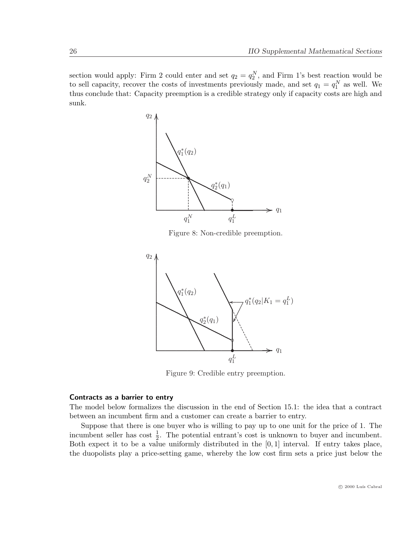section would apply: Firm 2 could enter and set  $q_2 = q_2^N$ , and Firm 1's best reaction would be to sell capacity, recover the costs of investments previously made, and set  $q_1 = q_1^N$  as well. We thus conclude that: Capacity preemption is a credible strategy only if capacity costs are high and sunk.



Figure 8: Non-credible preemption.



Figure 9: Credible entry preemption.

# Contracts as a barrier to entry

The model below formalizes the discussion in the end of Section 15.1: the idea that a contract between an incumbent firm and a customer can create a barrier to entry.

Suppose that there is one buyer who is willing to pay up to one unit for the price of 1. The incumbent seller has cost  $\frac{1}{2}$ . The potential entrant's cost is unknown to buyer and incumbent. Both expect it to be a value uniformly distributed in the  $[0, 1]$  interval. If entry takes place, the duopolists play a price-setting game, whereby the low cost firm sets a price just below the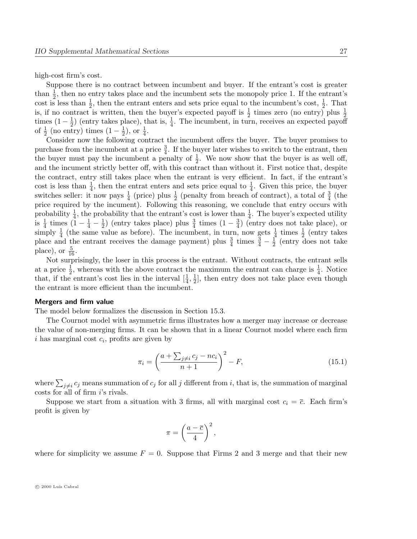high-cost firm's cost.

Suppose there is no contract between incumbent and buyer. If the entrant's cost is greater than  $\frac{1}{2}$ , then no entry takes place and the incumbent sets the monopoly price 1. If the entrant's cost is less than  $\frac{1}{2}$ , then the entrant enters and sets price equal to the incumbent's cost,  $\frac{1}{2}$ . That is, if no contract is written, then the buyer's expected payoff is  $\frac{1}{2}$  times zero (no entry) plus  $\frac{1}{2}$ times  $(1-\frac{1}{2})$  $\frac{1}{2}$ ) (entry takes place), that is,  $\frac{1}{4}$ . The incumbent, in turn, receives an expected payoff of  $\frac{1}{2}$  (no entry) times  $(1-\frac{1}{2})$  $(\frac{1}{2}),$  or  $(\frac{1}{4}).$ 

Consider now the following contract the incumbent offers the buyer. The buyer promises to purchase from the incumbent at a price  $\frac{3}{4}$ . If the buyer later wishes to switch to the entrant, then the buyer must pay the incumbent a penalty of  $\frac{1}{2}$ . We now show that the buyer is as well off, and the incument strictly better off, with this contract than without it. First notice that, despite the contract, entry still takes place when the entrant is very efficient. In fact, if the entrant's cost is less than  $\frac{1}{4}$ , then the entrat enters and sets price equal to  $\frac{1}{4}$ . Given this price, the buyer switches seller: it now pays  $\frac{1}{4}$  (price) plus  $\frac{1}{2}$  (penalty from breach of contract), a total of  $\frac{3}{4}$  (the price required by the incument). Following this reasoning, we conclude that entry occurs with probability  $\frac{1}{4}$ , the probability that the entrant's cost is lower than  $\frac{1}{4}$ . The buyer's expected utility probability 4, the probability that the chiral s cost is lower than  $\frac{4}{4}$ <br>is  $\frac{1}{4}$  times  $(1-\frac{1}{4}-\frac{1}{2})$  (entry takes place) plus  $\frac{3}{4}$  times  $(1-\frac{3}{4})$  (6)  $\frac{1}{2}$ ) (entry takes place) plus  $\frac{3}{4}$  times  $(1-\frac{3}{4})$  $\frac{3}{4}$ ) (entry does not take place), or simply  $\frac{1}{4}$  (the same value as before). The incumbent, in turn, now gets  $\frac{1}{4}$  times  $\frac{1}{2}$  (entry takes place and the entrant receives the damage payment) plus  $\frac{3}{4}$  times  $\frac{3}{4} - \frac{1}{2}$  $\frac{1}{2}$  (entry does not take place), or  $\frac{5}{16}$ .

Not surprisingly, the loser in this process is the entrant. Without contracts, the entrant sells at a price  $\frac{1}{2}$ , whereas with the above contract the maximum the entrant can charge is  $\frac{1}{4}$ . Notice that, if the entrant's cost lies in the interval  $[\frac{1}{4}, \frac{1}{2}]$  $\frac{1}{2}$ , then entry does not take place even though the entrant is more efficient than the incumbent.

## Mergers and firm value

The model below formalizes the discussion in Section 15.3.

The Cournot model with asymmetric firms illustrates how a merger may increase or decrease the value of non-merging firms. It can be shown that in a linear Cournot model where each firm  $i$  has marginal cost  $c_i$ , profits are given by

$$
\pi_i = \left(\frac{a + \sum_{j \neq i} c_j - nc_i}{n+1}\right)^2 - F,\tag{15.1}
$$

where  $\sum_{j\neq i}c_j$  means summation of  $c_j$  for all j different from i, that is, the summation of marginal costs for all of firm i's rivals.

Suppose we start from a situation with 3 firms, all with marginal cost  $c_i = \overline{c}$ . Each firm's profit is given by

$$
\pi = \left(\frac{a-\overline{c}}{4}\right)^2,
$$

where for simplicity we assume  $F = 0$ . Suppose that Firms 2 and 3 merge and that their new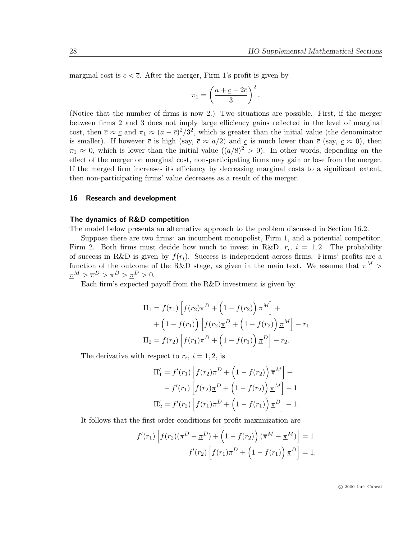marginal cost is  $c < \overline{c}$ . After the merger, Firm 1's profit is given by

$$
\pi_1 = \left(\frac{a+\underline{c}-2\overline{c}}{3}\right)^2.
$$

(Notice that the number of firms is now 2.) Two situations are possible. First, if the merger between firms 2 and 3 does not imply large efficiency gains reflected in the level of marginal cost, then  $\bar{c} \approx \bar{c}$  and  $\pi_1 \approx (a - \bar{c})^2/3^2$ , which is greater than the initial value (the denominator is smaller). If however  $\bar{c}$  is high (say,  $\bar{c} \approx a/2$ ) and  $c$  is much lower than  $\bar{c}$  (say,  $c \approx 0$ ), then  $\pi_1 \approx 0$ , which is lower than the initial value  $((a/8)^2 > 0)$ . In other words, depending on the effect of the merger on marginal cost, non-participating firms may gain or lose from the merger. If the merged firm increases its efficiency by decreasing marginal costs to a significant extent, then non-participating firms' value decreases as a result of the merger.

# 16 Research and development

#### The dynamics of R&D competition

The model below presents an alternative approach to the problem discussed in Section 16.2.

Suppose there are two firms: an incumbent monopolist, Firm 1, and a potential competitor, Firm 2. Both firms must decide how much to invest in R&D,  $r_i$ ,  $i = 1, 2$ . The probability of success in R&D is given by  $f(r_i)$ . Success is independent across firms. Firms' profits are a function of the outcome of the R&D stage, as given in the main text. We assume that  $\overline{\pi}^M$  $\underline{\pi}^M > \overline{\pi}^D > \pi^D > \underline{\pi}^D > 0.$ 

Each firm's expected payoff from the R&D investment is given by

$$
\Pi_1 = f(r_1) \left[ f(r_2) \pi^D + \left( 1 - f(r_2) \right) \overline{\pi}^M \right] +
$$
  
+ 
$$
\left( 1 - f(r_1) \right) \left[ f(r_2) \underline{\pi}^D + \left( 1 - f(r_2) \right) \underline{\pi}^M \right] - r_1
$$
  

$$
\Pi_2 = f(r_2) \left[ f(r_1) \pi^D + \left( 1 - f(r_1) \right) \underline{\pi}^D \right] - r_2.
$$

The derivative with respect to  $r_i$ ,  $i = 1, 2$ , is

$$
\Pi'_{1} = f'(r_{1}) \left[ f(r_{2}) \pi^{D} + \left( 1 - f(r_{2}) \right) \overline{\pi}^{M} \right] +
$$
  
-  $f'(r_{1}) \left[ f(r_{2}) \underline{\pi}^{D} + \left( 1 - f(r_{2}) \right) \underline{\pi}^{M} \right] - 1$   

$$
\Pi'_{2} = f'(r_{2}) \left[ f(r_{1}) \pi^{D} + \left( 1 - f(r_{1}) \right) \underline{\pi}^{D} \right] - 1.
$$

It follows that the first-order conditions for profit maximization are

$$
f'(r_1)\left[f(r_2)(\pi^D - \underline{\pi}^D) + \left(1 - f(r_2)\right)(\overline{\pi}^M - \underline{\pi}^M)\right] = 1
$$

$$
f'(r_2)\left[f(r_1)\pi^D + \left(1 - f(r_1)\right)\underline{\pi}^D\right] = 1.
$$

 $\odot$  2000 Luís Cabral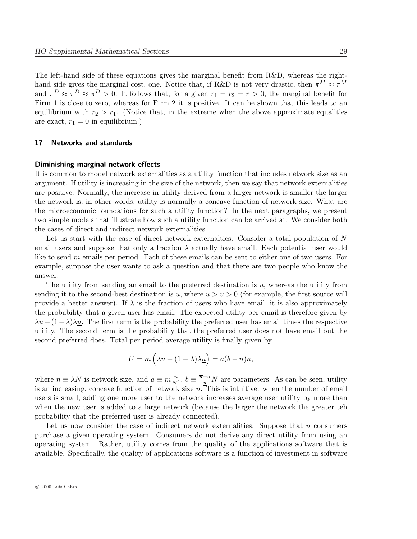The left-hand side of these equations gives the marginal benefit from R&D, whereas the righthand side gives the marginal cost, one. Notice that, if R&D is not very drastic, then  $\bar{\pi}^M \approx \underline{\pi}^M$ and  $\overline{\pi}^D \approx \pi^D \approx \underline{\pi}^D > 0$ . It follows that, for a given  $r_1 = r_2 = r > 0$ , the marginal benefit for Firm 1 is close to zero, whereas for Firm 2 it is positive. It can be shown that this leads to an equilibrium with  $r_2 > r_1$ . (Notice that, in the extreme when the above approximate equalities are exact,  $r_1 = 0$  in equilibrium.)

#### 17 Networks and standards

#### Diminishing marginal network effects

It is common to model network externalities as a utility function that includes network size as an argument. If utility is increasing in the size of the network, then we say that network externalities are positive. Normally, the increase in utility derived from a larger network is smaller the larger the network is; in other words, utility is normally a concave function of network size. What are the microeconomic foundations for such a utility function? In the next paragraphs, we present two simple models that illustrate how such a utility function can be arrived at. We consider both the cases of direct and indirect network externalities.

Let us start with the case of direct network externalties. Consider a total population of N email users and suppose that only a fraction  $\lambda$  actually have email. Each potential user would like to send m emails per period. Each of these emails can be sent to either one of two users. For example, suppose the user wants to ask a question and that there are two people who know the answer.

The utility from sending an email to the preferred destination is  $\bar{u}$ , whereas the utility from sending it to the second-best destination is  $u$ , where  $\overline{u} > u > 0$  (for example, the first source will provide a better answer). If  $\lambda$  is the fraction of users who have email, it is also approximately the probability that a given user has email. The expected utility per email is therefore given by  $\lambda \overline{u} + (1 - \lambda)\lambda u$ . The first term is the probability the preferred user has email times the respective utility. The second term is the probability that the preferred user does not have email but the second preferred does. Total per period average utility is finally given by

$$
U = m\left(\lambda \overline{u} + (1 - \lambda)\lambda \underline{u}\right) = a(b - n)n,
$$

where  $n \equiv \lambda N$  is network size, and  $a \equiv m \frac{u}{N^2}$ ,  $b \equiv \frac{\overline{u} + \underline{u}}{\underline{u}} N$  are parameters. As can be seen, utility is an increasing, concave function of network size  $n$ . This is intuitive: when the number of email users is small, adding one more user to the network increases average user utility by more than when the new user is added to a large network (because the larger the network the greater teh probability that the preferred user is already connected).

Let us now consider the case of indirect network externalities. Suppose that  $n$  consumers purchase a given operating system. Consumers do not derive any direct utility from using an operating system. Rather, utility comes from the quality of the applications software that is available. Specifically, the quality of applications software is a function of investment in software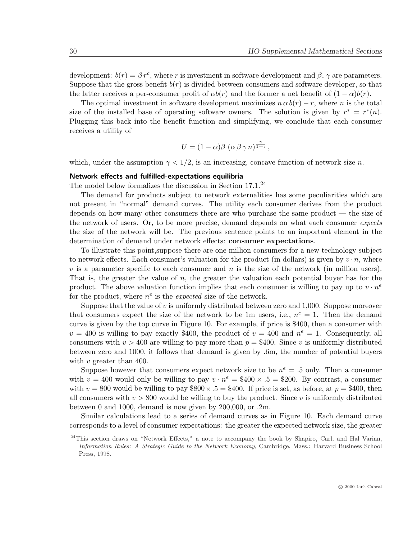development:  $b(r) = \beta r^c$ , where r is investment in software development and  $\beta$ ,  $\gamma$  are parameters. Suppose that the gross benefit  $b(r)$  is divided between consumers and software developer, so that the latter receives a per-consumer profit of  $\alpha b(r)$  and the former a net benefit of  $(1 - \alpha) b(r)$ .

The optimal investment in software development maximizes  $n \alpha b(r) - r$ , where n is the total size of the installed base of operating software owners. The solution is given by  $r^* = r^*(n)$ . Plugging this back into the benefit function and simplifying, we conclude that each consumer receives a utility of

$$
U = (1 - \alpha)\beta \, (\alpha \, \beta \, \gamma \, n)^{\frac{\gamma}{1 - \gamma}} \,,
$$

which, under the assumption  $\gamma < 1/2$ , is an increasing, concave function of network size n.

## Network effects and fulfilled-expectations equilibria

The model below formalizes the discussion in Section 17.1.<sup>24</sup>

The demand for products subject to network externalities has some peculiarities which are not present in "normal" demand curves. The utility each consumer derives from the product depends on how many other consumers there are who purchase the same product — the size of the network of users. Or, to be more precise, demand depends on what each consumer expects the size of the network will be. The previous sentence points to an important element in the determination of demand under network effects: consumer expectations.

To illustrate this point,suppose there are one million consumers for a new technology subject to network effects. Each consumer's valuation for the product (in dollars) is given by  $v \cdot n$ , where  $v$  is a parameter specific to each consumer and  $n$  is the size of the network (in million users). That is, the greater the value of n, the greater the valuation each potential buyer has for the product. The above valuation function implies that each consumer is willing to pay up to  $v \cdot n^e$ for the product, where  $n^e$  is the *expected* size of the network.

Suppose that the value of  $v$  is uniformly distributed between zero and 1,000. Suppose moreover that consumers expect the size of the network to be 1m users, i.e.,  $n^e = 1$ . Then the demand curve is given by the top curve in Figure 10. For example, if price is \$400, then a consumer with  $v = 400$  is willing to pay exactly \$400, the product of  $v = 400$  and  $n^e = 1$ . Consequently, all consumers with  $v > 400$  are willing to pay more than  $p = $400$ . Since v is uniformly distributed between zero and 1000, it follows that demand is given by .6m, the number of potential buyers with  $v$  greater than 400.

Suppose however that consumers expect network size to be  $n^e = 0.5$  only. Then a consumer with  $v = 400$  would only be willing to pay  $v \cdot n^e = $400 \times .5 = $200$ . By contrast, a consumer with  $v = 800$  would be willing to pay  $800 \times .5 = 400$ . If price is set, as before, at  $p = $400$ , then all consumers with  $v > 800$  would be willing to buy the product. Since v is uniformly distributed between 0 and 1000, demand is now given by 200,000, or .2m.

Similar calculations lead to a series of demand curves as in Figure 10. Each demand curve corresponds to a level of consumer expectations: the greater the expected network size, the greater

 $^{24}$ This section draws on "Network Effects," a note to accompany the book by Shapiro, Carl, and Hal Varian, Information Rules: A Strategic Guide to the Network Economy, Cambridge, Mass.: Harvard Business School Press, 1998.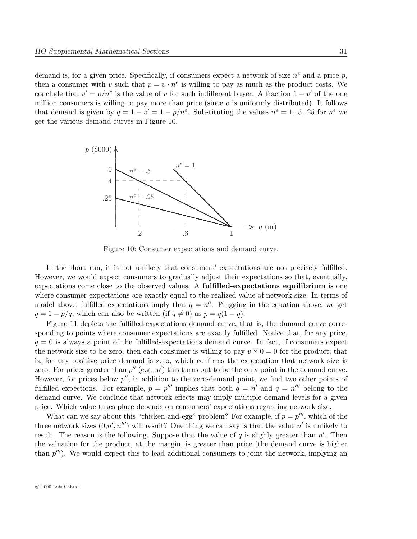demand is, for a given price. Specifically, if consumers expect a network of size  $n^e$  and a price p, then a consumer with v such that  $p = v \cdot n^e$  is willing to pay as much as the product costs. We conclude that  $v' = p/n^e$  is the value of v for such indifferent buyer. A fraction  $1 - v'$  of the one million consumers is willing to pay more than price (since  $v$  is uniformly distributed). It follows that demand is given by  $q = 1 - v' = 1 - p/n^e$ . Substituting the values  $n^e = 1, .5, .25$  for  $n^e$  we get the various demand curves in Figure 10.



Figure 10: Consumer expectations and demand curve.

In the short run, it is not unlikely that consumers' expectations are not precisely fulfilled. However, we would expect consumers to gradually adjust their expectations so that, eventually, expectations come close to the observed values. A **fulfilled-expectations equilibrium** is one where consumer expectations are exactly equal to the realized value of network size. In terms of model above, fulfilled expectations imply that  $q = n^e$ . Plugging in the equation above, we get  $q = 1 - p/q$ , which can also be written (if  $q \neq 0$ ) as  $p = q(1 - q)$ .

Figure 11 depicts the fulfilled-expectations demand curve, that is, the damand curve corresponding to points where consumer expectations are exactly fulfilled. Notice that, for any price,  $q = 0$  is always a point of the fulfilled-expectations demand curve. In fact, if consumers expect the network size to be zero, then each consumer is willing to pay  $v \times 0 = 0$  for the product; that is, for any positive price demand is zero, which confirms the expectation that network size is zero. For prices greater than  $p''$  (e.g.,  $p'$ ) this turns out to be the only point in the demand curve. However, for prices below  $p''$ , in addition to the zero-demand point, we find two other points of fulfilled expections. For example,  $p = p^{\prime\prime\prime}$  implies that both  $q = n^{\prime}$  and  $q = n^{\prime\prime\prime}$  belong to the demand curve. We conclude that network effects may imply multiple demand levels for a given price. Which value takes place depends on consumers' expectations regarding network size.

What can we say about this "chicken-and-egg" problem? For example, if  $p = p^{\prime\prime\prime}$ , which of the three network sizes  $(0, n', n''')$  will result? One thing we can say is that the value  $n'$  is unlikely to result. The reason is the following. Suppose that the value of q is slighly greater than  $n'$ . Then the valuation for the product, at the margin, is greater than price (the demand curve is higher than  $p^{\prime\prime\prime}$ ). We would expect this to lead additional consumers to joint the network, implying an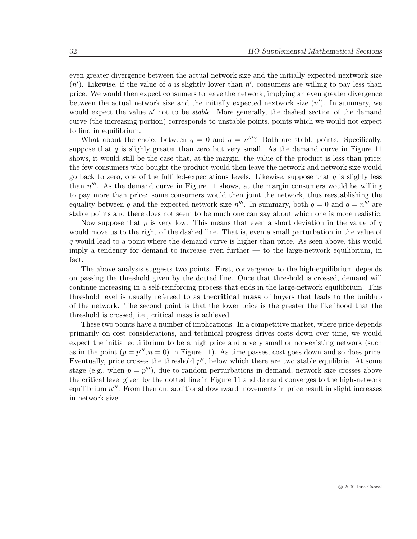even greater divergence between the actual network size and the initially expected nextwork size  $(n')$ . Likewise, if the value of q is slightly lower than  $n'$ , consumers are willing to pay less than price. We would then expect consumers to leave the network, implying an even greater divergence between the actual network size and the initially expected nextwork size  $(n')$ . In summary, we would expect the value  $n'$  not to be *stable*. More generally, the dashed section of the demand curve (the increasing portion) corresponds to unstable points, points which we would not expect to find in equilibrium.

What about the choice between  $q = 0$  and  $q = n^{\prime\prime\prime}$ ? Both are stable points. Specifically, suppose that  $q$  is slighly greater than zero but very small. As the demand curve in Figure 11 shows, it would still be the case that, at the margin, the value of the product is less than price: the few consumers who bought the product would then leave the network and network size would go back to zero, one of the fulfilled-expectations levels. Likewise, suppose that q is slighly less than  $n^{\prime\prime\prime}$ . As the demand curve in Figure 11 shows, at the margin consumers would be willing to pay more than price: some consumers would then joint the network, thus reestablishing the equality between q and the expected network size  $n^{\prime\prime\prime}$ . In summary, both  $q=0$  and  $q=n^{\prime\prime\prime}$  are stable points and there does not seem to be much one can say about which one is more realistic.

Now suppose that  $p$  is very low. This means that even a short deviation in the value of  $q$ would move us to the right of the dashed line. That is, even a small perturbation in the value of q would lead to a point where the demand curve is higher than price. As seen above, this would imply a tendency for demand to increase even further — to the large-network equilibrium, in fact.

The above analysis suggests two points. First, convergence to the high-equilibrium depends on passing the threshold given by the dotted line. Once that threshold is crossed, demand will continue increasing in a self-reinforcing process that ends in the large-network equilibrium. This threshold level is usually refereed to as the **critical mass** of buyers that leads to the buildup of the network. The second point is that the lower price is the greater the likelihood that the threshold is crossed, i.e., critical mass is achieved.

These two points have a number of implications. In a competitive market, where price depends primarily on cost considerations, and technical progress drives costs down over time, we would expect the initial equilibrium to be a high price and a very small or non-existing network (such as in the point  $(p = p^{\prime\prime\prime}, n = 0)$  in Figure 11). As time passes, cost goes down and so does price. Eventually, price crosses the threshold  $p''$ , below which there are two stable equilibria. At some stage (e.g., when  $p = p^{\prime\prime\prime}$ ), due to random perturbations in demand, network size crosses above the critical level given by the dotted line in Figure 11 and demand converges to the high-network equilibrium  $n'''$ . From then on, additional downward movements in price result in slight increases in network size.